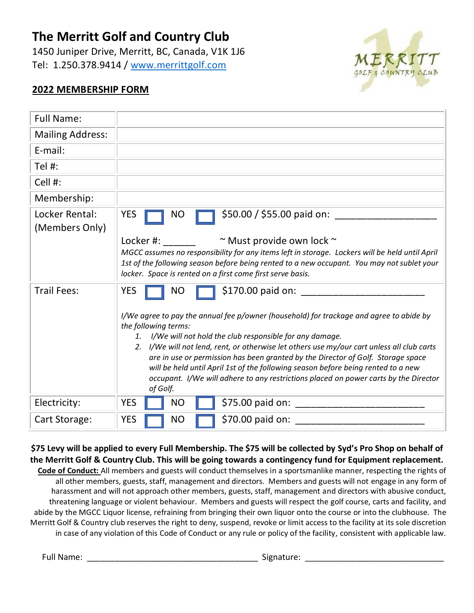## **The Merritt Golf and Country Club**

1450 Juniper Drive, Merritt, BC, Canada, V1K 1J6 Tel: 1.250.378.9414 / [www.merrittgolf.com](http://www.merrittgolf.com/)



## **2022 MEMBERSHIP FORM**

| <b>Full Name:</b>                |                                                                                                                                                                                                                                                                     |  |  |
|----------------------------------|---------------------------------------------------------------------------------------------------------------------------------------------------------------------------------------------------------------------------------------------------------------------|--|--|
| <b>Mailing Address:</b>          |                                                                                                                                                                                                                                                                     |  |  |
| E-mail:                          |                                                                                                                                                                                                                                                                     |  |  |
| Tel #:                           |                                                                                                                                                                                                                                                                     |  |  |
| Cell #:                          |                                                                                                                                                                                                                                                                     |  |  |
| Membership:                      |                                                                                                                                                                                                                                                                     |  |  |
| Locker Rental:<br>(Members Only) | \$50.00 / \$55.00 paid on:<br><b>YES</b><br><b>NO</b>                                                                                                                                                                                                               |  |  |
|                                  | Locker #: www.com/<br>$\sim$ Must provide own lock $\sim$                                                                                                                                                                                                           |  |  |
|                                  | MGCC assumes no responsibility for any items left in storage. Lockers will be held until April<br>1st of the following season before being rented to a new occupant. You may not sublet your<br>locker. Space is rented on a first come first serve basis.          |  |  |
| <b>Trail Fees:</b>               | \$170.00 paid on: ______<br><b>YES</b><br><b>NO</b>                                                                                                                                                                                                                 |  |  |
|                                  | I/We agree to pay the annual fee p/owner (household) for trackage and agree to abide by<br>the following terms:<br>1. I/We will not hold the club responsible for any damage.                                                                                       |  |  |
|                                  | 2. I/We will not lend, rent, or otherwise let others use my/our cart unless all club carts<br>are in use or permission has been granted by the Director of Golf. Storage space<br>will be held until April 1st of the following season before being rented to a new |  |  |
|                                  |                                                                                                                                                                                                                                                                     |  |  |
|                                  | occupant. I/We will adhere to any restrictions placed on power carts by the Director<br>of Golf.                                                                                                                                                                    |  |  |
| Electricity:                     | \$75.00 paid on: _____________<br><b>YES</b><br><b>NO</b>                                                                                                                                                                                                           |  |  |
| Cart Storage:                    | <b>YES</b><br>\$70.00 paid on:<br><b>NO</b>                                                                                                                                                                                                                         |  |  |

## **\$75 Levy will be applied to every Full Membership. The \$75 will be collected by Syd's Pro Shop on behalf of the Merritt Golf & Country Club. This will be going towards a contingency fund for Equipment replacement.**

**Code of Conduct:** All members and guests will conduct themselves in a sportsmanlike manner, respecting the rights of all other members, guests, staff, management and directors. Members and guests will not engage in any form of harassment and will not approach other members, guests, staff, management and directors with abusive conduct, threatening language or violent behaviour. Members and guests will respect the golf course, carts and facility, and abide by the MGCC Liquor license, refraining from bringing their own liquor onto the course or into the clubhouse. The Merritt Golf & Country club reserves the right to deny, suspend, revoke or limit access to the facility at its sole discretion in case of any violation of this Code of Conduct or any rule or policy of the facility, consistent with applicable law.

Full Name: \_\_\_\_\_\_\_\_\_\_\_\_\_\_\_\_\_\_\_\_\_\_\_\_\_\_\_\_\_\_\_\_\_\_\_\_\_ Signature: \_\_\_\_\_\_\_\_\_\_\_\_\_\_\_\_\_\_\_\_\_\_\_\_\_\_\_\_\_\_